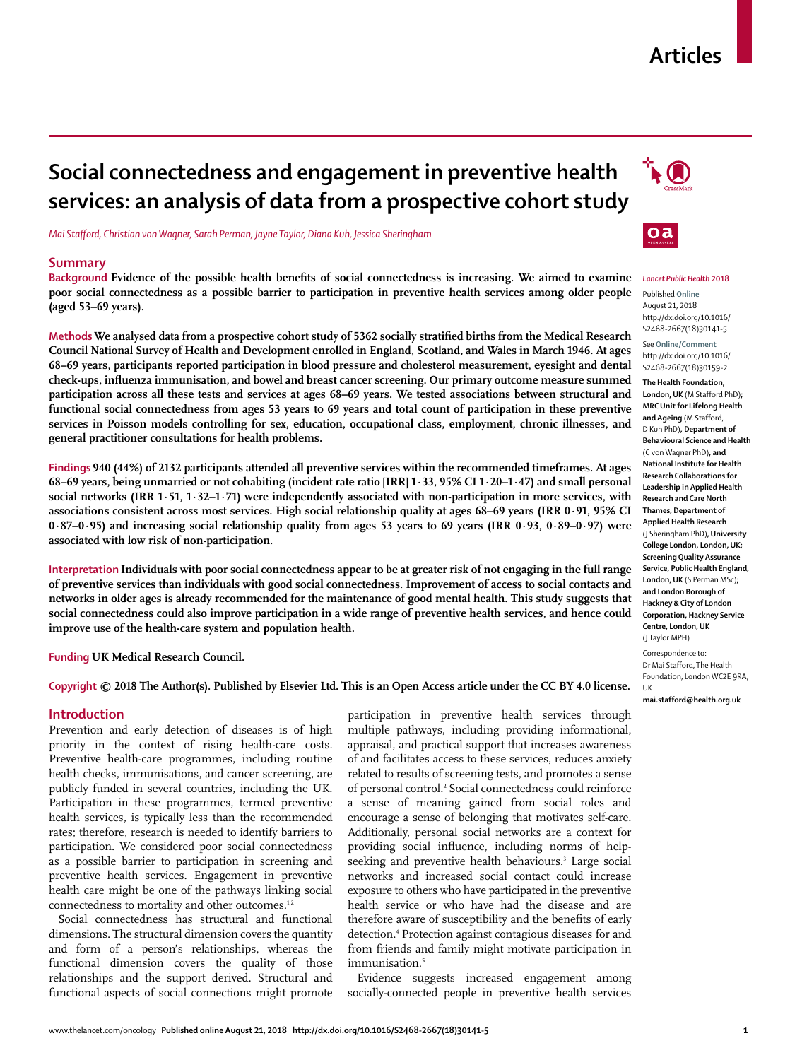# **Articles**

# **Social connectedness and engagement in preventive health services: an analysis of data from a prospective cohort study**

*Mai Stafford, Christian von Wagner, Sarah Perman, Jayne Taylor, Diana Kuh, Jessica Sheringham* 

## **Summary**

**Background Evidence of the possible health benefits of social connectedness is increasing. We aimed to examine poor social connectedness as a possible barrier to participation in preventive health services among older people (aged 53–69 years).**

**Methods We analysed data from a prospective cohort study of 5362 socially stratified births from the Medical Research Council National Survey of Health and Development enrolled in England, Scotland, and Wales in March 1946. At ages 68–69 years, participants reported participation in blood pressure and cholesterol measurement, eyesight and dental check-ups, influenza immunisation, and bowel and breast cancer screening. Our primary outcome measure summed participation across all these tests and services at ages 68–69 years. We tested associations between structural and functional social connectedness from ages 53 years to 69 years and total count of participation in these preventive services in Poisson models controlling for sex, education, occupational class, employment, chronic illnesses, and general practitioner consultations for health problems.**

**Findings 940 (44%) of 2132 participants attended all preventive services within the recommended timeframes. At ages 68–69 years, being unmarried or not cohabiting (incident rate ratio [IRR] 1·33, 95% CI 1·20–1·47) and small personal social networks (IRR 1·51, 1·32–1·71) were independently associated with non-participation in more services, with associations consistent across most services. High social relationship quality at ages 68–69 years (IRR 0·91, 95% CI 0·87–0·95) and increasing social relationship quality from ages 53 years to 69 years (IRR 0·93, 0·89–0·97) were associated with low risk of non-participation.**

**Interpretation Individuals with poor social connectedness appear to be at greater risk of not engaging in the full range of preventive services than individuals with good social connectedness. Improvement of access to social contacts and networks in older ages is already recommended for the maintenance of good mental health. This study suggests that social connectedness could also improve participation in a wide range of preventive health services, and hence could improve use of the health-care system and population health.**

**Funding UK Medical Research Council.**

## **Copyright © 2018 The Author(s). Published by Elsevier Ltd. This is an Open Access article under the CC BY 4.0 license.**

## **Introduction**

Prevention and early detection of diseases is of high priority in the context of rising health-care costs. Preventive health-care programmes, including routine health checks, immunisations, and cancer screening, are publicly funded in several countries, including the UK. Participation in these programmes, termed preventive health services, is typically less than the recommended rates; therefore, research is needed to identify barriers to participation. We considered poor social connectedness as a possible barrier to participation in screening and preventive health services. Engagement in preventive health care might be one of the pathways linking social connectedness to mortality and other outcomes.1,2

Social connectedness has structural and functional dimensions. The structural dimension covers the quantity and form of a person's relationships, whereas the functional dimension covers the quality of those relationships and the support derived. Structural and functional aspects of social connections might promote participation in preventive health services through multiple pathways, including providing informational, appraisal, and practical support that increases awareness of and facilitates access to these services, reduces anxiety related to results of screening tests, and promotes a sense of personal control.<sup>2</sup> Social connectedness could reinforce a sense of meaning gained from social roles and encourage a sense of belonging that motivates self-care. Additionally, personal social networks are a context for providing social influence, including norms of helpseeking and preventive health behaviours.<sup>3</sup> Large social networks and increased social contact could increase exposure to others who have participated in the preventive health service or who have had the disease and are therefore aware of susceptibility and the benefits of early detection.<sup>4</sup> Protection against contagious diseases for and from friends and family might motivate participation in immunisation.<sup>5</sup>

Evidence suggests increased engagement among socially-connected people in preventive health services



 $\mathbf{0}$ a



Published **Online** August 21, 2018 http://dx.doi.org/10.1016/ S2468-2667(18)30141-5

See **Online/Comment** http://dx.doi.org/10.1016/ S2468-2667(18)30159-2

**The Health Foundation, London, UK** (M Stafford PhD)**; MRC Unit for Lifelong Health and Ageing** (M Stafford, D Kuh PhD)**, Department of Behavioural Science and Health** (C von Wagner PhD)**, and National Institute for Health Research Collaborations for Leadership in Applied Health Research and Care North Thames, Department of Applied Health Research** (J Sheringham PhD)**, University College London, London, UK; Screening Quality Assurance Service, Public Health England, London, UK** (S Perman MSc)**; and London Borough of Hackney & City of London Corporation, Hackney Service Centre, London, UK** (J Taylor MPH)

Correspondence to:

Dr Mai Stafford, The Health Foundation, London WC2E 9RA, UK

**mai.stafford@health.org.uk**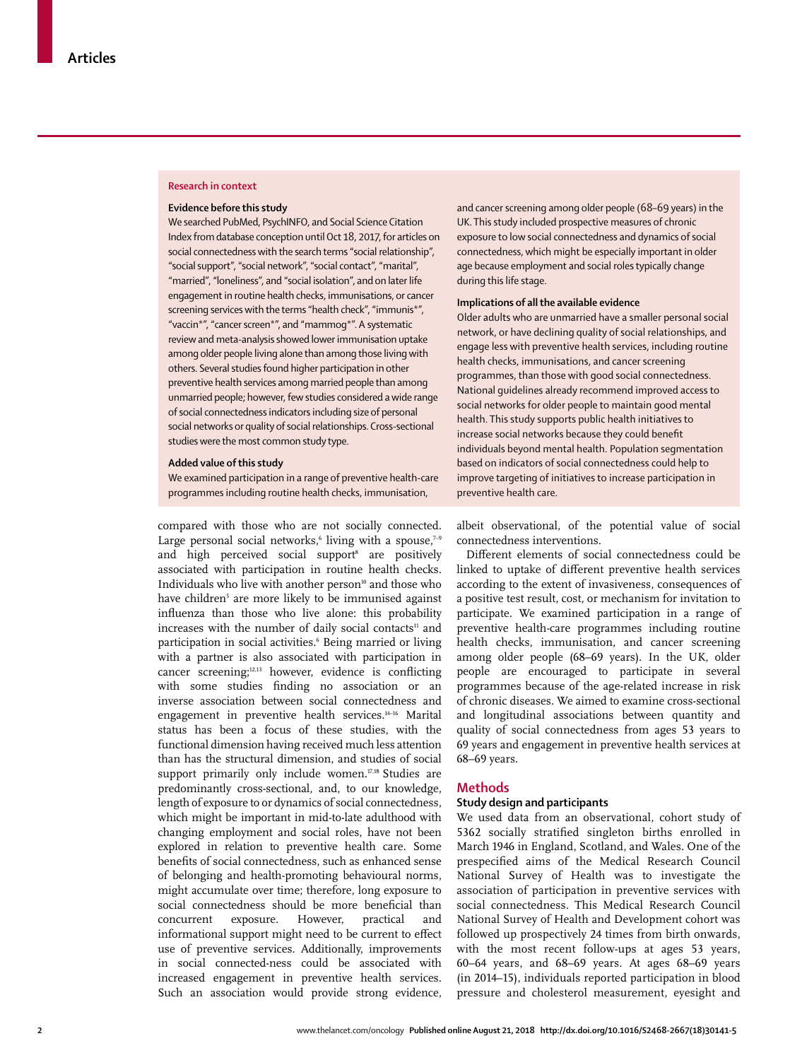## **Research in context**

#### **Evidence before this study**

We searched PubMed, PsychINFO, and Social Science Citation Index from database conception until Oct 18, 2017, for articles on social connectedness with the search terms "social relationship", "social support", "social network", "social contact", "marital", "married", "loneliness", and "social isolation", and on later life engagement in routine health checks, immunisations, or cancer screening services with the terms "health check", "immunis\*", "vaccin\*", "cancer screen\*", and "mammog\*". A systematic review and meta-analysis showed lower immunisation uptake among older people living alone than among those living with others. Several studies found higher participation in other preventive health services among married people than among unmarried people; however, few studies considered a wide range of social connectedness indicators including size of personal social networks or quality of social relationships. Cross-sectional studies were the most common study type.

#### **Added value of this study**

We examined participation in a range of preventive health-care programmes including routine health checks, immunisation,

compared with those who are not socially connected. Large personal social networks, $6$  living with a spouse, $7-9$ and high perceived social support<sup>s</sup> are positively associated with participation in routine health checks. Individuals who live with another person<sup>10</sup> and those who have children<sup>s</sup> are more likely to be immunised against influenza than those who live alone: this probability increases with the number of daily social contacts<sup>11</sup> and participation in social activities.6 Being married or living with a partner is also associated with participation in cancer screening;<sup>12,13</sup> however, evidence is conflicting with some studies finding no association or an inverse association between social connectedness and engagement in preventive health services.<sup>14-16</sup> Marital status has been a focus of these studies, with the functional dimension having received much less attention than has the structural dimension, and studies of social support primarily only include women.<sup>17,18</sup> Studies are predominantly cross-sectional, and, to our knowledge, length of exposure to or dynamics of social connectedness, which might be important in mid-to-late adulthood with changing employment and social roles, have not been explored in relation to preventive health care. Some benefits of social connectedness, such as enhanced sense of belonging and health-promoting behavioural norms, might accumulate over time; therefore, long exposure to social connectedness should be more beneficial than<br>concurrent exposure. However, practical and concurrent exposure. However, practical and informational support might need to be current to effect use of preventive services. Additionally, improvements in social connected-ness could be associated with increased engagement in preventive health services. Such an association would provide strong evidence,

and cancer screening among older people (68–69 years) in the UK. This study included prospective measures of chronic exposure to low social connectedness and dynamics of social connectedness, which might be especially important in older age because employment and social roles typically change during this life stage.

## **Implications of all the available evidence**

Older adults who are unmarried have a smaller personal social network, or have declining quality of social relationships, and engage less with preventive health services, including routine health checks, immunisations, and cancer screening programmes, than those with good social connectedness. National guidelines already recommend improved access to social networks for older people to maintain good mental health. This study supports public health initiatives to increase social networks because they could benefit individuals beyond mental health. Population segmentation based on indicators of social connectedness could help to improve targeting of initiatives to increase participation in preventive health care.

albeit observational, of the potential value of social connectedness interventions.

Different elements of social connectedness could be linked to uptake of different preventive health services according to the extent of invasiveness, consequences of a positive test result, cost, or mechanism for invitation to participate. We examined participation in a range of preventive health-care programmes including routine health checks, immunisation, and cancer screening among older people (68–69 years). In the UK, older people are encouraged to participate in several programmes because of the age-related increase in risk of chronic diseases. We aimed to examine cross-sectional and longitudinal associations between quantity and quality of social connectedness from ages 53 years to 69 years and engagement in preventive health services at 68–69 years.

## **Methods**

## **Study design and participants**

We used data from an observational, cohort study of 5362 socially stratified singleton births enrolled in March 1946 in England, Scotland, and Wales. One of the prespecified aims of the Medical Research Council National Survey of Health was to investigate the association of participation in preventive services with social connectedness. This Medical Research Council National Survey of Health and Development cohort was followed up prospectively 24 times from birth onwards, with the most recent follow-ups at ages 53 years, 60–64 years, and 68–69 years. At ages 68–69 years (in 2014–15), individuals reported participation in blood pressure and cholesterol measurement, eyesight and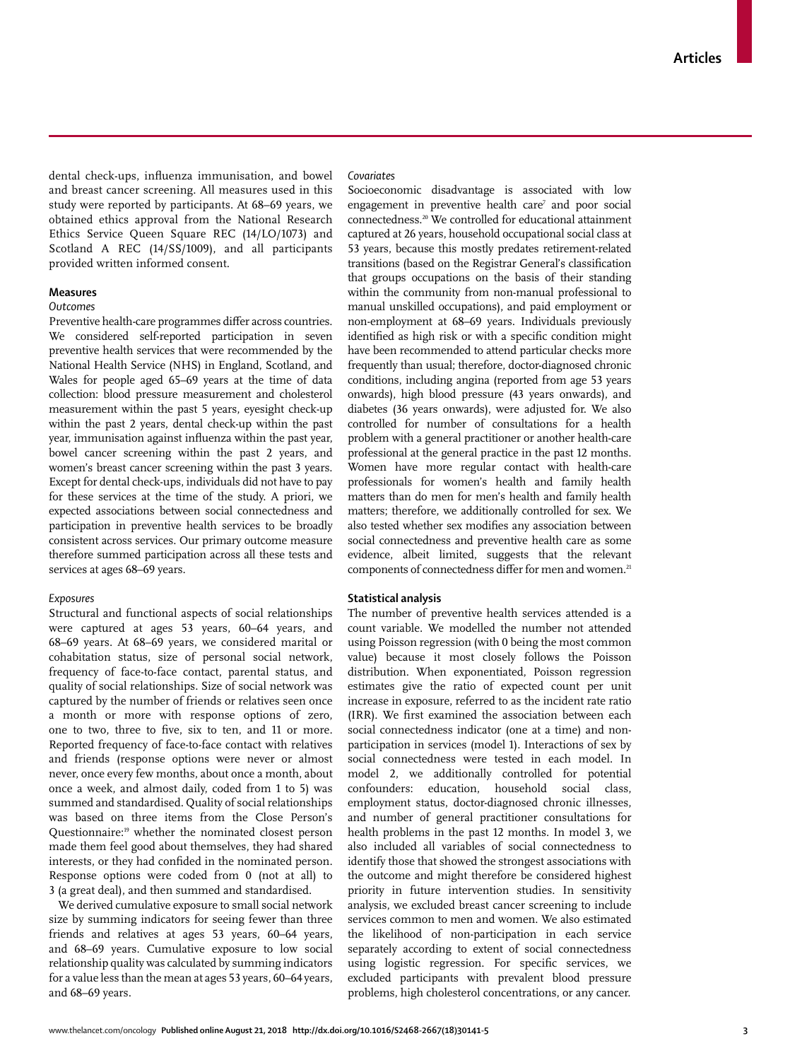dental check-ups, influenza immunisation, and bowel and breast cancer screening. All measures used in this study were reported by participants. At 68–69 years, we obtained ethics approval from the National Research Ethics Service Queen Square REC (14/LO/1073) and Scotland A REC (14/SS/1009), and all participants provided written informed consent.

# **Measures**

# *Outcomes*

Preventive health-care programmes differ across countries. We considered self-reported participation in seven preventive health services that were recommended by the National Health Service (NHS) in England, Scotland, and Wales for people aged 65–69 years at the time of data collection: blood pressure measurement and cholesterol measurement within the past 5 years, eyesight check-up within the past 2 years, dental check-up within the past year, immunisation against influenza within the past year, bowel cancer screening within the past 2 years, and women's breast cancer screening within the past 3 years. Except for dental check-ups, individuals did not have to pay for these services at the time of the study. A priori, we expected associations between social connectedness and participation in preventive health services to be broadly consistent across services. Our primary outcome measure therefore summed participation across all these tests and services at ages 68–69 years.

# *Exposures*

Structural and functional aspects of social relationships were captured at ages 53 years, 60–64 years, and 68–69 years. At 68–69 years, we considered marital or cohabitation status, size of personal social network, frequency of face-to-face contact, parental status, and quality of social relationships. Size of social network was captured by the number of friends or relatives seen once a month or more with response options of zero, one to two, three to five, six to ten, and 11 or more. Reported frequency of face-to-face contact with relatives and friends (response options were never or almost never, once every few months, about once a month, about once a week, and almost daily, coded from 1 to 5) was summed and standardised. Quality of social relationships was based on three items from the Close Person's Questionnaire:19 whether the nominated closest person made them feel good about themselves, they had shared interests, or they had confided in the nominated person. Response options were coded from 0 (not at all) to 3 (a great deal), and then summed and standardised.

We derived cumulative exposure to small social network size by summing indicators for seeing fewer than three friends and relatives at ages 53 years, 60–64 years, and 68–69 years. Cumulative exposure to low social relationship quality was calculated by summing indicators for a value less than the mean at ages 53 years, 60–64 years, and 68–69 years.

#### *Covariates*

Socioeconomic disadvantage is associated with low engagement in preventive health care<sup>7</sup> and poor social connectedness.20 We controlled for educational attainment captured at 26 years, household occupational social class at 53 years, because this mostly predates retirement-related transitions (based on the Registrar General's classification that groups occupations on the basis of their standing within the community from non-manual professional to manual unskilled occupations), and paid employment or non-employment at 68–69 years. Individuals previously identified as high risk or with a specific condition might have been recommended to attend particular checks more frequently than usual; therefore, doctor-diagnosed chronic conditions, including angina (reported from age 53 years onwards), high blood pressure (43 years onwards), and diabetes (36 years onwards), were adjusted for. We also controlled for number of consultations for a health problem with a general practitioner or another health-care professional at the general practice in the past 12 months. Women have more regular contact with health-care professionals for women's health and family health matters than do men for men's health and family health matters; therefore, we additionally controlled for sex. We also tested whether sex modifies any association between social connectedness and preventive health care as some evidence, albeit limited, suggests that the relevant components of connectedness differ for men and women.<sup>21</sup>

# **Statistical analysis**

The number of preventive health services attended is a count variable. We modelled the number not attended using Poisson regression (with 0 being the most common value) because it most closely follows the Poisson distribution. When exponentiated, Poisson regression estimates give the ratio of expected count per unit increase in exposure, referred to as the incident rate ratio (IRR). We first examined the association between each social connectedness indicator (one at a time) and nonparticipation in services (model 1). Interactions of sex by social connectedness were tested in each model. In model 2, we additionally controlled for potential confounders: education, household social class, employment status, doctor-diagnosed chronic illnesses, and number of general practitioner consultations for health problems in the past 12 months. In model 3, we also included all variables of social connectedness to identify those that showed the strongest associations with the outcome and might therefore be considered highest priority in future intervention studies. In sensitivity analysis, we excluded breast cancer screening to include services common to men and women. We also estimated the likelihood of non-participation in each service separately according to extent of social connectedness using logistic regression. For specific services, we excluded participants with prevalent blood pressure problems, high cholesterol concentrations, or any cancer.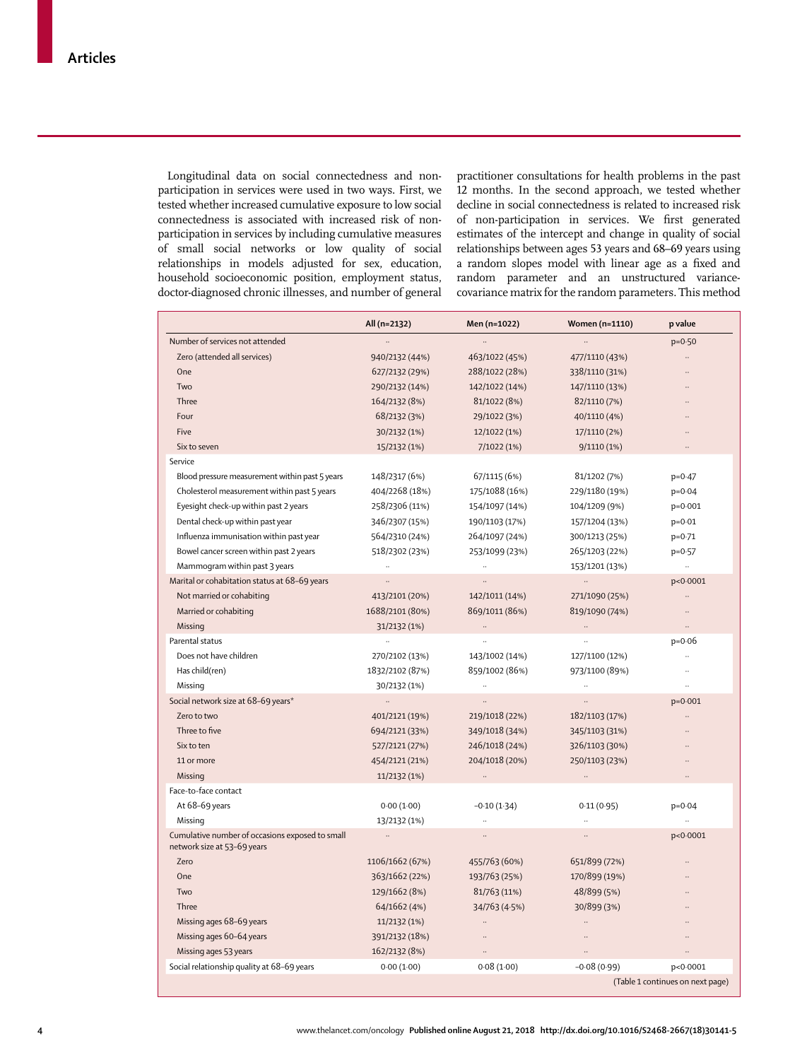Longitudinal data on social connectedness and nonparticipation in services were used in two ways. First, we tested whether increased cumulative exposure to low social connectedness is associated with increased risk of nonparticipation in services by including cumulative measures of small social networks or low quality of social relationships in models adjusted for sex, education, household socioeconomic position, employment status, doctor-diagnosed chronic illnesses, and number of general practitioner consultations for health problems in the past 12 months. In the second approach, we tested whether decline in social connectedness is related to increased risk of non-participation in services. We first generated estimates of the intercept and change in quality of social relationships between ages 53 years and 68–69 years using a random slopes model with linear age as a fixed and random parameter and an unstructured variancecovariance matrix for the random parameters. This method

|                                                                                | All (n=2132)         | Men (n=1022)         | Women (n=1110)       | p value                          |
|--------------------------------------------------------------------------------|----------------------|----------------------|----------------------|----------------------------------|
| Number of services not attended                                                |                      |                      |                      | $p = 0.50$                       |
| Zero (attended all services)                                                   | 940/2132 (44%)       | 463/1022 (45%)       | 477/1110 (43%)       |                                  |
| One                                                                            | 627/2132 (29%)       | 288/1022 (28%)       | 338/1110 (31%)       |                                  |
| Two                                                                            | 290/2132 (14%)       | 142/1022 (14%)       | 147/1110 (13%)       |                                  |
| Three                                                                          | 164/2132 (8%)        | 81/1022 (8%)         | 82/1110 (7%)         |                                  |
| Four                                                                           | 68/2132 (3%)         | 29/1022 (3%)         | 40/1110 (4%)         |                                  |
| Five                                                                           | 30/2132 (1%)         | 12/1022 (1%)         | 17/1110 (2%)         |                                  |
| Six to seven                                                                   | 15/2132 (1%)         | 7/1022 (1%)          | 9/1110 (1%)          |                                  |
| Service                                                                        |                      |                      |                      |                                  |
| Blood pressure measurement within past 5 years                                 | 148/2317 (6%)        | 67/1115 (6%)         | 81/1202 (7%)         | $p = 0.47$                       |
| Cholesterol measurement within past 5 years                                    | 404/2268 (18%)       | 175/1088 (16%)       | 229/1180 (19%)       | $p = 0.04$                       |
| Eyesight check-up within past 2 years                                          | 258/2306 (11%)       | 154/1097 (14%)       | 104/1209 (9%)        | $p = 0.001$                      |
| Dental check-up within past year                                               | 346/2307 (15%)       | 190/1103 (17%)       | 157/1204 (13%)       | $p = 0.01$                       |
| Influenza immunisation within past year                                        | 564/2310 (24%)       | 264/1097 (24%)       | 300/1213 (25%)       | $p=0.71$                         |
| Bowel cancer screen within past 2 years                                        | 518/2302 (23%)       | 253/1099 (23%)       | 265/1203 (22%)       | $p=0.57$                         |
| Mammogram within past 3 years                                                  |                      |                      | 153/1201 (13%)       |                                  |
| Marital or cohabitation status at 68-69 years                                  | $\ddotsc$            | $\ddot{\phantom{a}}$ | $\ddotsc$            | p<0.0001                         |
| Not married or cohabiting                                                      | 413/2101 (20%)       | 142/1011 (14%)       | 271/1090 (25%)       |                                  |
| Married or cohabiting                                                          | 1688/2101 (80%)      | 869/1011 (86%)       | 819/1090 (74%)       |                                  |
| Missing                                                                        | 31/2132 (1%)         |                      | $\ddotsc$            | $\ddotsc$                        |
| Parental status                                                                | $\ddot{\phantom{a}}$ | $\ddotsc$            | ä.                   | $p=0.06$                         |
| Does not have children                                                         | 270/2102 (13%)       | 143/1002 (14%)       | 127/1100 (12%)       |                                  |
| Has child(ren)                                                                 | 1832/2102 (87%)      | 859/1002 (86%)       | 973/1100 (89%)       | $\ddotsc$                        |
| Missing                                                                        | 30/2132 (1%)         | $\ddotsc$            | ä.                   |                                  |
| Social network size at 68-69 years*                                            | $\ldots$             | $\ldots$             | $\ldots$             | $p = 0.001$                      |
| Zero to two                                                                    | 401/2121 (19%)       | 219/1018 (22%)       | 182/1103 (17%)       |                                  |
| Three to five                                                                  | 694/2121 (33%)       | 349/1018 (34%)       | 345/1103 (31%)       |                                  |
| Six to ten                                                                     | 527/2121 (27%)       | 246/1018 (24%)       | 326/1103 (30%)       |                                  |
| 11 or more                                                                     | 454/2121 (21%)       | 204/1018 (20%)       | 250/1103 (23%)       |                                  |
| Missing                                                                        | 11/2132 (1%)         |                      |                      |                                  |
| Face-to-face contact                                                           |                      |                      |                      |                                  |
| At 68-69 years                                                                 | 0.00(1.00)           | $-0.10(1.34)$        | 0.11(0.95)           | $p = 0.04$                       |
| Missing                                                                        | 13/2132 (1%)         | $\ddotsc$            |                      |                                  |
| Cumulative number of occasions exposed to small<br>network size at 53-69 years | $\ddot{\phantom{a}}$ |                      | $\ddotsc$            | p<0.0001                         |
| Zero                                                                           | 1106/1662 (67%)      | 455/763 (60%)        | 651/899 (72%)        |                                  |
| One                                                                            | 363/1662 (22%)       | 193/763 (25%)        | 170/899 (19%)        |                                  |
| Two                                                                            | 129/1662 (8%)        | 81/763 (11%)         | 48/899 (5%)          |                                  |
| Three                                                                          | 64/1662 (4%)         | 34/763 (4.5%)        | 30/899 (3%)          |                                  |
| Missing ages 68-69 years                                                       | 11/2132 (1%)         |                      | $\ddot{\phantom{a}}$ |                                  |
| Missing ages 60-64 years                                                       | 391/2132 (18%)       |                      | $\ddotsc$            |                                  |
| Missing ages 53 years                                                          | 162/2132 (8%)        |                      |                      |                                  |
| Social relationship quality at 68-69 years                                     | 0.00(1.00)           | 0.08(1.00)           | $-0.08(0.99)$        | p<0.0001                         |
|                                                                                |                      |                      |                      | (Table 1 continues on next page) |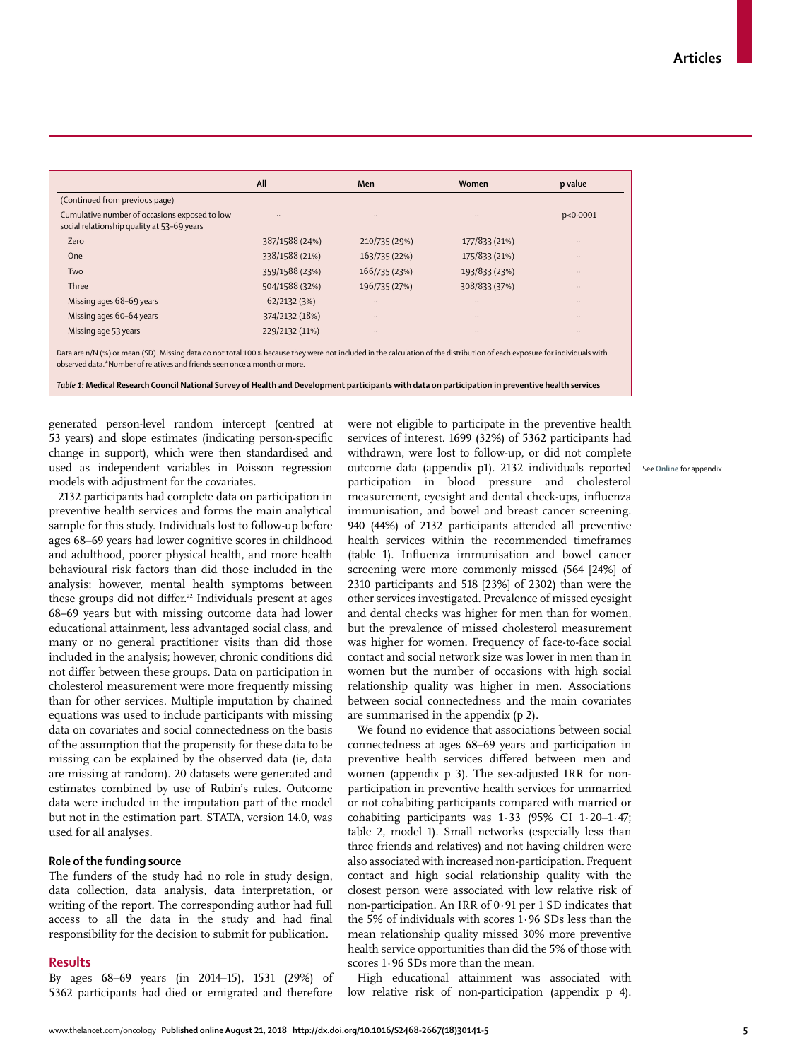See **Online** for appendix

|                                                                                             | All            | Men           | Women         | p value  |
|---------------------------------------------------------------------------------------------|----------------|---------------|---------------|----------|
| (Continued from previous page)                                                              |                |               |               |          |
| Cumulative number of occasions exposed to low<br>social relationship quality at 53-69 years |                | $\cdot$       |               | p<0.0001 |
| <b>Zero</b>                                                                                 | 387/1588 (24%) | 210/735 (29%) | 177/833 (21%) |          |
| One                                                                                         | 338/1588 (21%) | 163/735 (22%) | 175/833 (21%) | $\cdot$  |
| Two                                                                                         | 359/1588 (23%) | 166/735 (23%) | 193/833 (23%) |          |
| Three                                                                                       | 504/1588 (32%) | 196/735 (27%) | 308/833 (37%) |          |
| Missing ages 68-69 years                                                                    | 62/2132 (3%)   | $\cdot$       |               |          |
| Missing ages 60-64 years                                                                    | 374/2132 (18%) | $\cdot$       |               | $\cdot$  |
| Missing age 53 years                                                                        | 229/2132 (11%) |               |               | $\cdot$  |

*Table 1:* **Medical Research Council National Survey of Health and Development participants with data on participation in preventive health services**

generated person-level random intercept (centred at 53 years) and slope estimates (indicating person-specific change in support), which were then standardised and used as independent variables in Poisson regression models with adjustment for the covariates.

2132 participants had complete data on participation in preventive health services and forms the main analytical sample for this study. Individuals lost to follow-up before ages 68–69 years had lower cognitive scores in childhood and adulthood, poorer physical health, and more health behavioural risk factors than did those included in the analysis; however, mental health symptoms between these groups did not differ.<sup>22</sup> Individuals present at ages 68–69 years but with missing outcome data had lower educational attainment, less advantaged social class, and many or no general practitioner visits than did those included in the analysis; however, chronic conditions did not differ between these groups. Data on participation in cholesterol measurement were more frequently missing than for other services. Multiple imputation by chained equations was used to include participants with missing data on covariates and social connectedness on the basis of the assumption that the propensity for these data to be missing can be explained by the observed data (ie, data are missing at random). 20 datasets were generated and estimates combined by use of Rubin's rules. Outcome data were included in the imputation part of the model but not in the estimation part. STATA, version 14.0, was used for all analyses.

# **Role of the funding source**

The funders of the study had no role in study design, data collection, data analysis, data interpretation, or writing of the report. The corresponding author had full access to all the data in the study and had final responsibility for the decision to submit for publication.

# **Results**

By ages 68–69 years (in 2014–15), 1531 (29%) of 5362 participants had died or emigrated and therefore were not eligible to participate in the preventive health services of interest. 1699 (32%) of 5362 participants had withdrawn, were lost to follow-up, or did not complete outcome data (appendix p1). 2132 individuals reported participation in blood pressure and cholesterol measurement, eyesight and dental check-ups, influenza immunisation, and bowel and breast cancer screening. 940 (44%) of 2132 participants attended all preventive health services within the recommended timeframes (table 1). Influenza immunisation and bowel cancer screening were more commonly missed (564 [24%] of 2310 participants and 518 [23%] of 2302) than were the other services investigated. Prevalence of missed eyesight and dental checks was higher for men than for women, but the prevalence of missed cholesterol measurement was higher for women. Frequency of face-to-face social contact and social network size was lower in men than in women but the number of occasions with high social relationship quality was higher in men. Associations between social connectedness and the main covariates are summarised in the appendix (p 2).

We found no evidence that associations between social connectedness at ages 68–69 years and participation in preventive health services differed between men and women (appendix p 3). The sex-adjusted IRR for nonparticipation in preventive health services for unmarried or not cohabiting participants compared with married or cohabiting participants was 1·33 (95% CI 1·20–1·47; table 2, model 1). Small networks (especially less than three friends and relatives) and not having children were also associated with increased non-participation. Frequent contact and high social relationship quality with the closest person were associated with low relative risk of non-participation. An IRR of 0·91 per 1 SD indicates that the 5% of individuals with scores 1·96 SDs less than the mean relationship quality missed 30% more preventive health service opportunities than did the 5% of those with scores 1·96 SDs more than the mean.

High educational attainment was associated with low relative risk of non-participation (appendix p 4).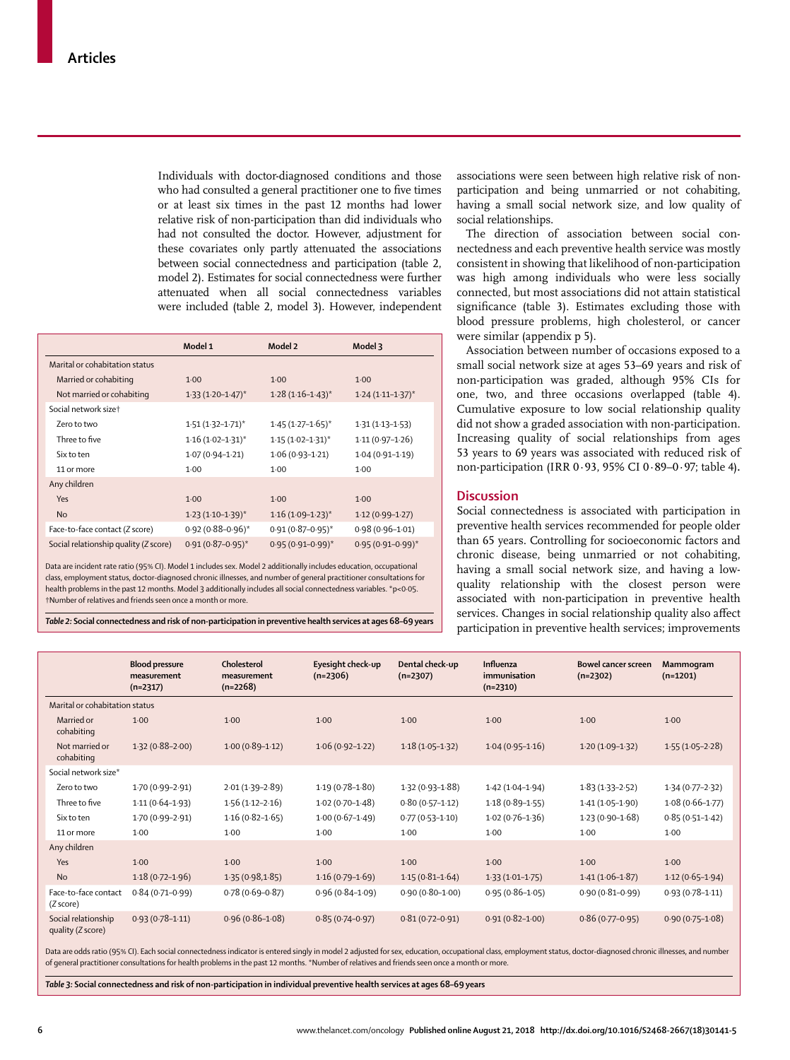Individuals with doctor-diagnosed conditions and those who had consulted a general practitioner one to five times or at least six times in the past 12 months had lower relative risk of non-participation than did individuals who had not consulted the doctor. However, adjustment for these covariates only partly attenuated the associations between social connectedness and participation (table 2, model 2). Estimates for social connectedness were further attenuated when all social connectedness variables were included (table 2, model 3). However, independent

|                                       | Model 1                 | Model 2                 | Model 3                 |
|---------------------------------------|-------------------------|-------------------------|-------------------------|
| Marital or cohabitation status        |                         |                         |                         |
| Married or cohabiting                 | 1.00                    | 1.00                    | $1-00$                  |
| Not married or cohabiting             | $1.33(1.20-1.47)^{*}$   | $1.28(1.16-1.43)^{*}$   | $1.24(1.11-1.37)$ *     |
| Social network sizet                  |                         |                         |                         |
| Zero to two                           | $1.51(1.32 - 1.71)^*$   | $1.45(1.27 - 1.65)^*$   | $1.31(1.13 - 1.53)$     |
| Three to five                         | $1.16(1.02 - 1.31)^{*}$ | $1.15(1.02 - 1.31)^{*}$ | $1.11(0.97 - 1.26)$     |
| Six to ten                            | $1.07(0.94 - 1.21)$     | $1.06(0.93 - 1.21)$     | $1.04(0.91 - 1.19)$     |
| 11 or more                            | $1-00$                  | $1-00$                  | $1-00$                  |
| Any children                          |                         |                         |                         |
| Yes                                   | 1.00                    | 1.00                    | 1.00                    |
| <b>No</b>                             | $1.23(1.10-1.39)^{*}$   | $1.16(1.09-1.23)^{*}$   | $1.12(0.99-1.27)$       |
| Face-to-face contact (Z score)        | $0.92(0.88 - 0.96)^*$   | $0.91(0.87 - 0.95)^*$   | $0.98(0.96 - 1.01)$     |
| Social relationship quality (Z score) | $0.91(0.87 - 0.95)^*$   | $0.95(0.91 - 0.99)^*$   | $0.95(0.91 - 0.99)^{*}$ |

Data are incident rate ratio (95% CI). Model 1 includes sex. Model 2 additionally includes education, occupational class, employment status, doctor-diagnosed chronic illnesses, and number of general practitioner consultations for health problems in the past 12 months. Model 3 additionally includes all social connectedness variables. \*p<0·05. †Number of relatives and friends seen once a month or more.

*Table 2:* **Social connectedness and risk of non-participation in preventive health services at ages 68–69 years**

associations were seen between high relative risk of nonparticipation and being unmarried or not cohabiting, having a small social network size, and low quality of social relationships.

The direction of association between social connectedness and each preventive health service was mostly consistent in showing that likelihood of non-participation was high among individuals who were less socially connected, but most associations did not attain statistical significance (table 3). Estimates excluding those with blood pressure problems, high cholesterol, or cancer were similar (appendix p 5).

Association between number of occasions exposed to a small social network size at ages 53–69 years and risk of non-participation was graded, although 95% CIs for one, two, and three occasions overlapped (table 4). Cumulative exposure to low social relationship quality did not show a graded association with non-participation. Increasing quality of social relationships from ages 53 years to 69 years was associated with reduced risk of non-participation (IRR 0·93, 95% CI 0·89–0·97; table 4)**.**

## **Discussion**

Social connectedness is associated with participation in preventive health services recommended for people older than 65 years. Controlling for socioeconomic factors and chronic disease, being unmarried or not cohabiting, having a small social network size, and having a lowquality relationship with the closest person were associated with non-participation in preventive health services. Changes in social relationship quality also affect participation in preventive health services; improvements

|                                          | <b>Blood pressure</b><br>measurement<br>$(n=2317)$ | Cholesterol<br>measurement<br>$(n=2268)$ | Eyesight check-up<br>$(n=2306)$ | Dental check-up<br>$(n=2307)$ | Influenza<br>immunisation<br>$(n=2310)$ | <b>Bowel cancer screen</b><br>$(n=2302)$ | Mammogram<br>$(n=1201)$ |
|------------------------------------------|----------------------------------------------------|------------------------------------------|---------------------------------|-------------------------------|-----------------------------------------|------------------------------------------|-------------------------|
| Marital or cohabitation status           |                                                    |                                          |                                 |                               |                                         |                                          |                         |
| Married or<br>cohabiting                 | 1.00                                               | 1.00                                     | 1.00                            | $1-00$                        | 1.00                                    | $1-00$                                   | 1.00                    |
| Not married or<br>cohabiting             | $1.32(0.88 - 2.00)$                                | $1.00(0.89 - 1.12)$                      | $1.06(0.92 - 1.22)$             | $1.18(1.05-1.32)$             | $1.04(0.95 - 1.16)$                     | $1.20(1.09-1.32)$                        | $1.55(1.05-2.28)$       |
| Social network size*                     |                                                    |                                          |                                 |                               |                                         |                                          |                         |
| Zero to two                              | 1.70 (0.99-2.91)                                   | $2.01(1.39 - 2.89)$                      | $1.19(0.78 - 1.80)$             | $1.32(0.93 - 1.88)$           | $1.42(1.04-1.94)$                       | $1.83(1.33 - 2.52)$                      | $1.34(0.77 - 2.32)$     |
| Three to five                            | $1.11(0.64 - 1.93)$                                | $1.56(1.12 - 2.16)$                      | $1.02(0.70-1.48)$               | $0.80(0.57 - 1.12)$           | $1.18(0.89 - 1.55)$                     | $1.41(1.05-1.90)$                        | $1.08(0.66 - 1.77)$     |
| Six to ten                               | 1.70 (0.99-2.91)                                   | $1.16(0.82 - 1.65)$                      | $1.00(0.67 - 1.49)$             | $0.77(0.53 - 1.10)$           | $1.02(0.76 - 1.36)$                     | $1.23(0.90 - 1.68)$                      | $0.85(0.51 - 1.42)$     |
| 11 or more                               | $1-00$                                             | $1-00$                                   | 1.00                            | $1-00$                        | $1-00$                                  | 1.00                                     | $1-00$                  |
| Any children                             |                                                    |                                          |                                 |                               |                                         |                                          |                         |
| Yes                                      | $1-00$                                             | 1.00                                     | 1.00                            | 1.00                          | 1.00                                    | 1.00                                     | $1-00$                  |
| <b>No</b>                                | $1.18(0.72 - 1.96)$                                | 1.35(0.98, 1.85)                         | $1.16(0.79-1.69)$               | $1.15(0.81 - 1.64)$           | $1.33(1.01-1.75)$                       | $1.41(1.06-1.87)$                        | $1.12(0.65 - 1.94)$     |
| Face-to-face contact<br>(Z score)        | $0.84(0.71-0.99)$                                  | $0.78(0.69 - 0.87)$                      | $0.96(0.84 - 1.09)$             | $0.90(0.80 - 1.00)$           | $0.95(0.86 - 1.05)$                     | $0.90(0.81 - 0.99)$                      | $0.93(0.78 - 1.11)$     |
| Social relationship<br>quality (Z score) | $0.93(0.78 - 1.11)$                                | $0.96(0.86 - 1.08)$                      | $0.85(0.74 - 0.97)$             | $0.81(0.72 - 0.91)$           | $0.91(0.82 - 1.00)$                     | $0.86(0.77-0.95)$                        | $0.90(0.75 - 1.08)$     |

Data are odds ratio (95% CI). Each social connectedness indicator is entered singly in model 2 adjusted for sex, education, occupational class, employment status, doctor-diagnosed chronic illnesses, and number of general practitioner consultations for health problems in the past 12 months. \*Number of relatives and friends seen once a month or more.

*Table 3:* **Social connectedness and risk of non-participation in individual preventive health services at ages 68–69 years**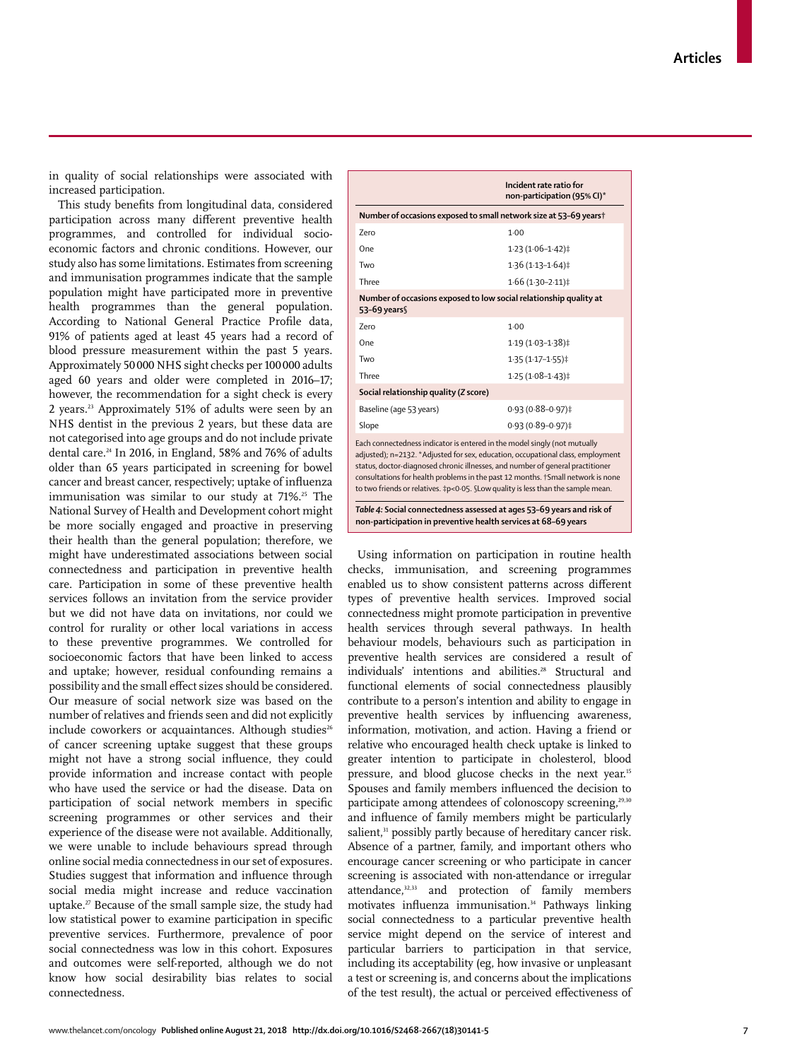in quality of social relationships were associated with increased participation.

This study benefits from longitudinal data, considered participation across many different preventive health programmes, and controlled for individual socioeconomic factors and chronic conditions. However, our study also has some limitations. Estimates from screening and immunisation programmes indicate that the sample population might have participated more in preventive health programmes than the general population. According to National General Practice Profile data, 91% of patients aged at least 45 years had a record of blood pressure measurement within the past 5 years. Approximately 50000 NHS sight checks per 100000 adults aged 60 years and older were completed in 2016–17; however, the recommendation for a sight check is every 2 years.23 Approximately 51% of adults were seen by an NHS dentist in the previous 2 years, but these data are not categorised into age groups and do not include private dental care.<sup>24</sup> In 2016, in England, 58% and 76% of adults older than 65 years participated in screening for bowel cancer and breast cancer, respectively; uptake of influenza immunisation was similar to our study at 71%.<sup>25</sup> The National Survey of Health and Development cohort might be more socially engaged and proactive in preserving their health than the general population; therefore, we might have underestimated associations between social connectedness and participation in preventive health care. Participation in some of these preventive health services follows an invitation from the service provider but we did not have data on invitations, nor could we control for rurality or other local variations in access to these preventive programmes. We controlled for socioeconomic factors that have been linked to access and uptake; however, residual confounding remains a possibility and the small effect sizes should be considered. Our measure of social network size was based on the number of relatives and friends seen and did not explicitly include coworkers or acquaintances. Although studies<sup>26</sup> of cancer screening uptake suggest that these groups might not have a strong social influence, they could provide information and increase contact with people who have used the service or had the disease. Data on participation of social network members in specific screening programmes or other services and their experience of the disease were not available. Additionally, we were unable to include behaviours spread through online social media connectedness in our set of exposures. Studies suggest that information and influence through social media might increase and reduce vaccination uptake.27 Because of the small sample size, the study had low statistical power to examine participation in specific preventive services. Furthermore, prevalence of poor social connectedness was low in this cohort. Exposures and outcomes were self-reported, although we do not know how social desirability bias relates to social connectedness.

|                                                                                                                                                                                                                                                                                                                                                                                                                       | Incident rate ratio for<br>non-participation (95% CI)* |  |  |
|-----------------------------------------------------------------------------------------------------------------------------------------------------------------------------------------------------------------------------------------------------------------------------------------------------------------------------------------------------------------------------------------------------------------------|--------------------------------------------------------|--|--|
| Number of occasions exposed to small network size at 53-69 years +                                                                                                                                                                                                                                                                                                                                                    |                                                        |  |  |
| <b>Zero</b>                                                                                                                                                                                                                                                                                                                                                                                                           | $1-00$                                                 |  |  |
| One                                                                                                                                                                                                                                                                                                                                                                                                                   | $1.23(1.06-1.42)$ ‡                                    |  |  |
| Two                                                                                                                                                                                                                                                                                                                                                                                                                   | $1.36(1.13 - 1.64)$ ‡                                  |  |  |
| Three                                                                                                                                                                                                                                                                                                                                                                                                                 | $1.66(1.30-2.11)$ ‡                                    |  |  |
| Number of occasions exposed to low social relationship quality at<br>53-69 years                                                                                                                                                                                                                                                                                                                                      |                                                        |  |  |
| <b>Zero</b>                                                                                                                                                                                                                                                                                                                                                                                                           | 1.00                                                   |  |  |
| One                                                                                                                                                                                                                                                                                                                                                                                                                   | 1.19 (1.03-1.38)‡                                      |  |  |
| Two                                                                                                                                                                                                                                                                                                                                                                                                                   | $1.35(1.17 - 1.55)$ #                                  |  |  |
| Three                                                                                                                                                                                                                                                                                                                                                                                                                 | $1.25(1.08-1.43)$                                      |  |  |
| Social relationship quality (Z score)                                                                                                                                                                                                                                                                                                                                                                                 |                                                        |  |  |
| Baseline (age 53 years)                                                                                                                                                                                                                                                                                                                                                                                               | $0.93(0.88 - 0.97)$ ‡                                  |  |  |
| Slope                                                                                                                                                                                                                                                                                                                                                                                                                 | $0.93(0.89 - 0.97)$ ‡                                  |  |  |
| Each connectedness indicator is entered in the model singly (not mutually<br>adjusted); n=2132. *Adjusted for sex, education, occupational class, employment<br>status, doctor-diagnosed chronic illnesses, and number of general practitioner<br>consultations for health problems in the past 12 months. †Small network is none<br>to two friends or relatives. #p<0.05. SLow quality is less than the sample mean. |                                                        |  |  |
| Table 4: Social connectedness assessed at ages 53-69 years and risk of<br>non-participation in preventive health services at 68-69 years                                                                                                                                                                                                                                                                              |                                                        |  |  |

Using information on participation in routine health checks, immunisation, and screening programmes enabled us to show consistent patterns across different types of preventive health services. Improved social connectedness might promote participation in preventive health services through several pathways. In health behaviour models, behaviours such as participation in preventive health services are considered a result of individuals' intentions and abilities.<sup>28</sup> Structural and functional elements of social connectedness plausibly contribute to a person's intention and ability to engage in preventive health services by influencing awareness, information, motivation, and action. Having a friend or relative who encouraged health check uptake is linked to greater intention to participate in cholesterol, blood pressure, and blood glucose checks in the next year.15 Spouses and family members influenced the decision to participate among attendees of colonoscopy screening,<sup>29,30</sup> and influence of family members might be particularly salient,<sup>31</sup> possibly partly because of hereditary cancer risk. Absence of a partner, family, and important others who encourage cancer screening or who participate in cancer screening is associated with non-attendance or irregular attendance, $32,33$  and protection of family members motivates influenza immunisation.<sup>34</sup> Pathways linking social connectedness to a particular preventive health service might depend on the service of interest and particular barriers to participation in that service, including its acceptability (eg, how invasive or unpleasant a test or screening is, and concerns about the implications of the test result), the actual or perceived effectiveness of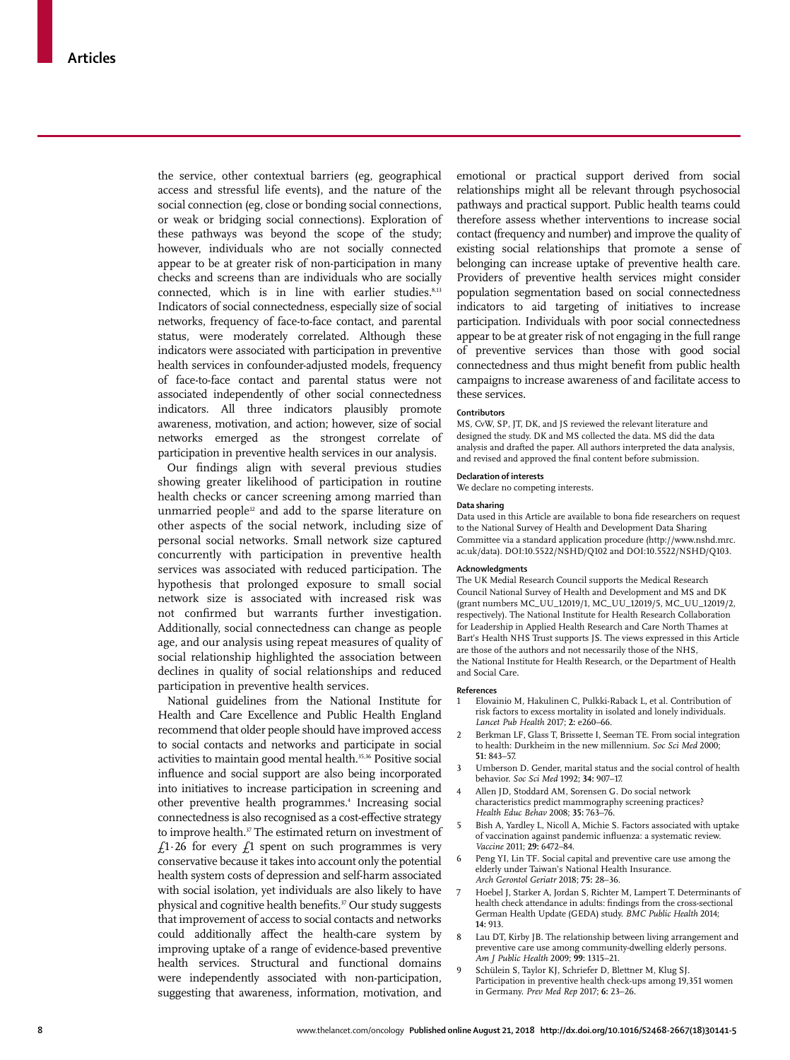the service, other contextual barriers (eg, geographical access and stressful life events), and the nature of the social connection (eg, close or bonding social connections, or weak or bridging social connections). Exploration of these pathways was beyond the scope of the study; however, individuals who are not socially connected appear to be at greater risk of non-participation in many checks and screens than are individuals who are socially connected, which is in line with earlier studies.<sup>8,13</sup> Indicators of social connectedness, especially size of social networks, frequency of face-to-face contact, and parental status, were moderately correlated. Although these indicators were associated with participation in preventive health services in confounder-adjusted models, frequency of face-to-face contact and parental status were not associated independently of other social connectedness indicators. All three indicators plausibly promote awareness, motivation, and action; however, size of social networks emerged as the strongest correlate of participation in preventive health services in our analysis.

Our findings align with several previous studies showing greater likelihood of participation in routine health checks or cancer screening among married than unmarried people<sup>12</sup> and add to the sparse literature on other aspects of the social network, including size of personal social networks. Small network size captured concurrently with participation in preventive health services was associated with reduced participation. The hypothesis that prolonged exposure to small social network size is associated with increased risk was not confirmed but warrants further investigation. Additionally, social connectedness can change as people age, and our analysis using repeat measures of quality of social relationship highlighted the association between declines in quality of social relationships and reduced participation in preventive health services.

National guidelines from the National Institute for Health and Care Excellence and Public Health England recommend that older people should have improved access to social contacts and networks and participate in social activities to maintain good mental health.<sup>35,36</sup> Positive social influence and social support are also being incorporated into initiatives to increase participation in screening and other preventive health programmes.<sup>4</sup> Increasing social connectedness is also recognised as a cost-effective strategy to improve health.<sup>37</sup> The estimated return on investment of  $f_1$ 1·26 for every  $f_1$  spent on such programmes is very conservative because it takes into account only the potential health system costs of depression and self-harm associated with social isolation, yet individuals are also likely to have physical and cognitive health benefits.<sup>37</sup> Our study suggests that improvement of access to social contacts and networks could additionally affect the health-care system by improving uptake of a range of evidence-based preventive health services. Structural and functional domains were independently associated with non-participation, suggesting that awareness, information, motivation, and

emotional or practical support derived from social relationships might all be relevant through psychosocial pathways and practical support. Public health teams could therefore assess whether interventions to increase social contact (frequency and number) and improve the quality of existing social relationships that promote a sense of belonging can increase uptake of preventive health care. Providers of preventive health services might consider population segmentation based on social connectedness indicators to aid targeting of initiatives to increase participation. Individuals with poor social connectedness appear to be at greater risk of not engaging in the full range of preventive services than those with good social connectedness and thus might benefit from public health campaigns to increase awareness of and facilitate access to these services.

#### **Contributors**

MS, CvW, SP, JT, DK, and JS reviewed the relevant literature and designed the study. DK and MS collected the data. MS did the data analysis and drafted the paper. All authors interpreted the data analysis, and revised and approved the final content before submission.

## **Declaration of interests**

We declare no competing interests.

#### **Data sharing**

Data used in this Article are available to bona fide researchers on request to the National Survey of Health and Development Data Sharing Committee via a standard application procedure (http://www.nshd.mrc. ac.uk/data). DOI:10.5522/NSHD/Q102 and DOI:10.5522/NSHD/Q103.

#### **Acknowledgments**

The UK Medial Research Council supports the Medical Research Council National Survey of Health and Development and MS and DK (grant numbers MC\_UU\_12019/1, MC\_UU\_12019/5, MC\_UU\_12019/2, respectively). The National Institute for Health Research Collaboration for Leadership in Applied Health Research and Care North Thames at Bart's Health NHS Trust supports JS. The views expressed in this Article are those of the authors and not necessarily those of the NHS, the National Institute for Health Research, or the Department of Health and Social Care.

#### **References**

- 1 Elovainio M, Hakulinen C, Pulkki-Raback L, et al. Contribution of risk factors to excess mortality in isolated and lonely individuals. *Lancet Pub Health* 2017; **2:** e260–66.
- 2 Berkman LF, Glass T, Brissette I, Seeman TE. From social integration to health: Durkheim in the new millennium. *Soc Sci Med* 2000; **51:** 843–57.
- Umberson D. Gender, marital status and the social control of health behavior. *Soc Sci Med* 1992; **34:** 907–17.
- 4 Allen JD, Stoddard AM, Sorensen G. Do social network characteristics predict mammography screening practices? *Health Educ Behav* 2008; **35:** 763–76.
- 5 Bish A, Yardley L, Nicoll A, Michie S. Factors associated with uptake of vaccination against pandemic influenza: a systematic review. *Vaccine* 2011; **29:** 6472–84.
- 6 Peng YI, Lin TF. Social capital and preventive care use among the elderly under Taiwan's National Health Insurance. *Arch Gerontol Geriatr* 2018; **75:** 28–36.
- Hoebel J, Starker A, Jordan S, Richter M, Lampert T. Determinants of health check attendance in adults: findings from the cross-sectional German Health Update (GEDA) study. *BMC Public Health* 2014; **14:** 913.
- Lau DT, Kirby JB. The relationship between living arrangement and preventive care use among community-dwelling elderly persons. *Am J Public Health* 2009; **99:** 1315–21.
- 9 Schülein S, Taylor KJ, Schriefer D, Blettner M, Klug SJ. Participation in preventive health check-ups among 19,351 women in Germany. *Prev Med Rep* 2017; **6:** 23–26.